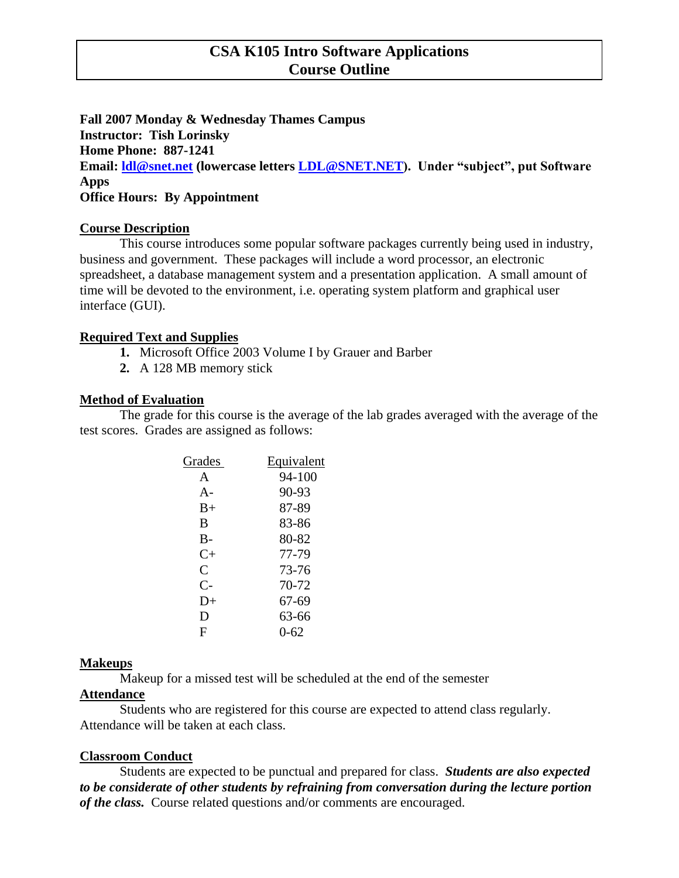# **CSA K105 Intro Software Applications Course Outline**

**Fall 2007 Monday & Wednesday Thames Campus Instructor: Tish Lorinsky Home Phone: 887-1241 Email: [ldl@snet.net](mailto:ldl@snet.net) (lowercase letters [LDL@SNET.NET\)](mailto:LDL@SNET.NET). Under "subject", put Software Apps Office Hours: By Appointment**

### **Course Description**

This course introduces some popular software packages currently being used in industry, business and government. These packages will include a word processor, an electronic spreadsheet, a database management system and a presentation application. A small amount of time will be devoted to the environment, i.e. operating system platform and graphical user interface (GUI).

## **Required Text and Supplies**

- **1.** Microsoft Office 2003 Volume I by Grauer and Barber
- **2.** A 128 MB memory stick

### **Method of Evaluation**

The grade for this course is the average of the lab grades averaged with the average of the test scores. Grades are assigned as follows:

| Grades         | Equivalent |
|----------------|------------|
| A              | $94 - 100$ |
| $A -$          | $90 - 93$  |
| $B+$           | 87-89      |
| B              | 83-86      |
| $B -$          | 80-82      |
| $C+$           | 77-79      |
| $\overline{C}$ | 73-76      |
| $C-$           | 70-72      |
| $D+$           | 67-69      |
| D              | 63-66      |
| F              | 0-62       |
|                |            |

#### **Makeups**

Makeup for a missed test will be scheduled at the end of the semester

#### **Attendance**

Students who are registered for this course are expected to attend class regularly. Attendance will be taken at each class.

## **Classroom Conduct**

Students are expected to be punctual and prepared for class. *Students are also expected to be considerate of other students by refraining from conversation during the lecture portion of the class.* Course related questions and/or comments are encouraged.